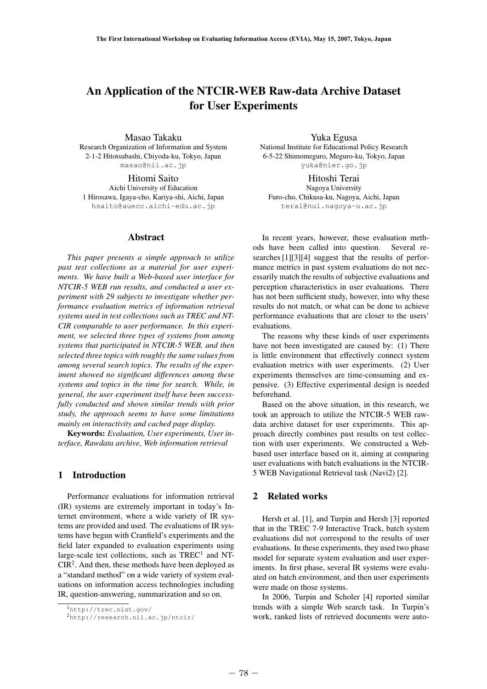# An Application of the NTCIR-WEB Raw-data Archive Dataset for User Experiments

Masao Takaku Research Organization of Information and System 2-1-2 Hitotsubashi, Chiyoda-ku, Tokyo, Japan masao@nii.ac.jp

Hitomi Saito Aichi University of Education 1 Hirosawa, Igaya-cho, Kariya-shi, Aichi, Japan hsaito@auecc.aichi-edu.ac.jp

## Abstract

*This paper presents a simple approach to utilize past test collections as a material for user experiments. We have built a Web-based user interface for NTCIR-5 WEB run results, and conducted a user experiment with 29 subjects to investigate whether performance evaluation metrics of information retrieval systems used in test collections such as TREC and NT-CIR comparable to user performance. In this experiment, we selected three types of systems from among systems that participated in NTCIR-5 WEB, and then selected three topics with roughly the same values from among several search topics. The results of the experiment showed no significant differences among these systems and topics in the time for search. While, in general, the user experiment itself have been successfully conducted and shown similar trends with prior study, the approach seems to have some limitations mainly on interactivity and cached page display.*

Keywords: *Evaluation, User experiments, User interface, Rawdata archive, Web information retrieval*

# 1 Introduction

Performance evaluations for information retrieval (IR) systems are extremely important in today's Internet environment, where a wide variety of IR systems are provided and used. The evaluations of IR systems have begun with Cranfield's experiments and the field later expanded to evaluation experiments using large-scale test collections, such as  $TREC<sup>1</sup>$  and NT- $CIR<sup>2</sup>$ . And then, these methods have been deployed as a "standard method" on a wide variety of system evaluations on information access technologies including IR, question-answering, summarization and so on. iment show<br>systems an<br>general, th<br>fully conditated, the<br>mainly on<br>**Keywon**<br>terface, Ra<br>**1** Intro<br>Perform<br>(IR) system<br>ternet envi<br>tems are pr<br>tems have<br>field later<br>large-scale<br>CIR<sup>2</sup>. And<br>a "standarc<br>uations on<br>IR, questic

Yuka Egusa National Institute for Educational Policy Research 6-5-22 Shimomeguro, Meguro-ku, Tokyo, Japan yuka@nier.go.jp

Hitoshi Terai Nagoya University Furo-cho, Chikusa-ku, Nagoya, Aichi, Japan terai@nul.nagoya-u.ac.jp

In recent years, however, these evaluation methods have been called into question. Several researches [1][3][4] suggest that the results of performance metrics in past system evaluations do not necessarily match the results of subjective evaluations and perception characteristics in user evaluations. There has not been sufficient study, however, into why these results do not match, or what can be done to achieve performance evaluations that are closer to the users' evaluations.

The reasons why these kinds of user experiments have not been investigated are caused by: (1) There is little environment that effectively connect system evaluation metrics with user experiments. (2) User experiments themselves are time-consuming and expensive. (3) Effective experimental design is needed beforehand.

Based on the above situation, in this research, we took an approach to utilize the NTCIR-5 WEB rawdata archive dataset for user experiments. This approach directly combines past results on test collection with user experiments. We constructed a Webbased user interface based on it, aiming at comparing user evaluations with batch evaluations in the NTCIR-5 WEB Navigational Retrieval task (Navi2) [2].

# 2 Related works

Hersh et al. [1], and Turpin and Hersh [3] reported that in the TREC 7-9 Interactive Track, batch system evaluations did not correspond to the results of user evaluations. In these experiments, they used two phase model for separate system evaluation and user experiments. In first phase, several IR systems were evaluated on batch environment, and then user experiments were made on those systems.

In 2006, Turpin and Scholer [4] reported similar trends with a simple Web search task. In Turpin's work, ranked lists of retrieved documents were auto-

<sup>1</sup>http://trec.nist.gov/

<sup>2</sup>http://research.nii.ac.jp/ntcir/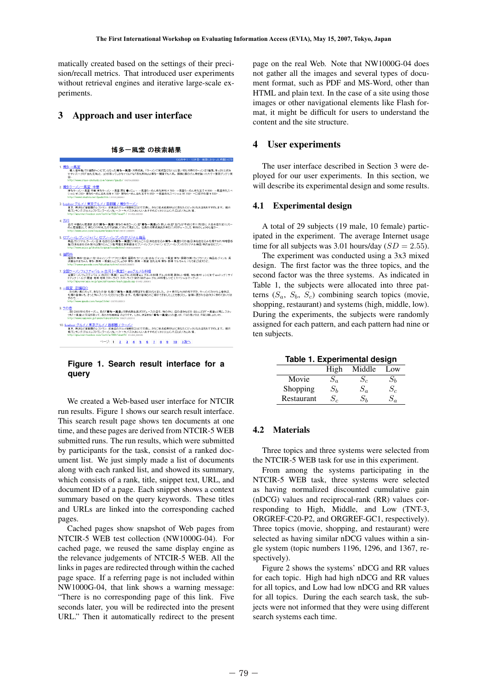matically created based on the settings of their precision/recall metrics. That introduced user experiments without retrieval engines and iterative large-scale experiments.

# 3 Approach and user interface

|  | 博多一風堂 の検索結果 |  |
|--|-------------|--|
|  |             |  |

| <b>THE REPORT OF A PRIME OF A STATISTIC AND A PROPERTY OF A PROPERTY OF A PROPERTY OF A PROPERTY OF A PROPERTY OF</b>                                                                                                                                                                  |
|----------------------------------------------------------------------------------------------------------------------------------------------------------------------------------------------------------------------------------------------------------------------------------------|
| 1 博多 一風堂<br>…職人選手権」で3連覇チャンピオンとなった博多一風堂・河原成美。「ラーメンに完成型はない」と言い切る河原のラーメンは2種類。あっさりと飲み<br>やすいスープの「自丸元味」と、コクがあってしかもマイルドな「赤丸新味」は構多~関東でも人気、販売と販のげん骨を強い火力で一帯夜ダウダウ薬<br>出<br>http://www.otaun-shokudo.com/ramen/jppudo/ 1662794 000028                                                            |
| ク 博多ラーメノ一風堂 中華<br>博多ラーゾノー風堂 中華 博多ラーゾノー風堂 厚る ●メニュー 一風堂らーめん赤丸新味 ¥ 780- 一風堂らーめん赤丸玉子 ¥ 900- 一風堂赤丸スペ<br>シャル ¥1.200~ 博多らーめん自丸元味 ¥ 730~ 博多らーめん自丸玉子 ¥ 850~ 一風堂赤丸スペシャル ¥1.150~ 一口鏡子各個>¥ 500~<br>http://www.kimuhiro.net/ipudo.htm 1367836 000983                                                |
| 3. livedoor グルメ / 東京グルメ / 首都圏 / 博多ラーメン<br>東京、横浜など普都圏のレストラン、飲食店のグルメ情報を目出さで交換し、さらに採点結果をもとにあなたにビッタリなお店をおすすめします。 橋元<br>板ランキンググルメレストランラーダンカレーケーキ バスタおいしいおすすめビッタリリコメンド ロコミくちこみ 情<br>http://gourmet.livedoor.com/isch/ar/326/read/1/ 0184629 000023                                           |
| 4 五行<br>五行 中華めん居酒家 五行(博多一風堂) 博多の有名ラージン店「博多一風堂」の 新しいお店「五行」が平成12年11月3日に 大名本店の近くにらー<br>めん居酒屋として 新たにOPEN たので試食しに行って見ました。社長の河原成美氏が新たにプロデュースした 新味のしょうゆと塩ラー<br>http://www.univs.com/osusume/gogvo.html 2081013-000070                                                                         |
| 5. セブン・イレブン・ジャパン セブン・イレブンのオリジナル商品<br>商品オリジナル、ラーメン、日清 名店仕込み博多一風堂ビリ辛とんこつ、日清名店仕込み博多一風堂からか麺目清名店仕込み札幌すみれ味噌醤香<br>麺目清名店仕込み旭川山頭火とんこつ塩、明星広東菜醤油セブン-イレブン・ジャパンセブン-イレブンのオリジナル商品 株式会社セブン-<br>http://www.sei.co.ip/shohin/orisinal/noodle.html 1850019.0000644                                        |
| 6.福岡市<br>福岡市 無料+出会い-花-キャッシング-アクセス解析 福岡市 ラーメン店 店名 ジャンル 一風堂 博多・既骨(与博) カップラーメン 商品名 ジャンル 長<br>浜屋台やまちゃん 博多・豚骨 一風堂とんこつしょうゆ 博多・豚骨 一風堂 白丸元味 博多・豚骨 マルちゃん バリうまごぼ 天うど<br>http://ramen.gooside.com/fukuokacity.html 000025.000002                                                                  |
| 7. 全国ラーメンフェスティバル in 白河 [一風堂] - gooグルメ&料理<br>全国ラーメンフェスティバル in 白河 [一風堂] - gooグルッを料理 goo グルッを料理 グルッを料理 美味しい情報、何な食材・レシピまで gool-ップ   サイ<br>トマップ   ヘルプ 関連: 地域 地域 スローライフ スローライフ 旅行 旅行 goo グル x&料理 レシピ   スペシャルマーケット …<br>http://enurmet.enn.ne.in/snecial/raumen/each.innudo.asn.crsscr.pppars |
| 8. 一風堂 店舗紹介<br>…から熱い風にのって、あなたの後・札幌に「博多一風堂」を閉店する運びとなりました。 少々骨太な九州の味ですが、ラーメンにかける心意気は、<br>札幌の皆様にも、きっと気に入っていただけると思います。札幌の皆様とのご縁ができましたことを客びとし、皆様に愛される店作りに努めてまいりま<br>すので、<br>http://www.ippudo.com/tenpo3.html 1282766.0000131                                                               |
| 9. ラの壱<br>…即2003年10月オーブン。あの「博多一風堂」河原成美社長ブロデュースの店で、味の作り、店の造作などの ほとんどが「一風堂」と同じ。スタッ<br>つも「一風堂」と交流があって、あたかも抽味店のようです。しかし決定的な「構多一風堂」との違いが、「うの表」では、『呼び屋しばといわ…<br>http://www.nazomen.jp/ramen/ranoichi.htm 1569071.0000110.                                                                    |
| 10. livedoor グルメ / 東京グルメ / 首都圏 / ラーメン<br>東京、横浜など首都圏のレストラン、飲食店のグルメ情報を口コミで交換し、さらに採点結果をもとにあなたにピッタリなお店をおすすめします。 揚示<br>板ランキング、グルメレストランラーメンカレー、ケーキ、バスタおいしい。おすすめビッタリリコンンド、口コミ、くちこみ、情<br>http://gourmet.livedoor.com/isch/ar/800/read/9/ 0104629.000088                                        |
| $\sim$ $\sim$ $\sim$ 1 2 3 4 5 6 7 8 9 10 $\times$ $\sqrt{x}$                                                                                                                                                                                                                          |

## **Figure 1. Search result interface for a query**

We created a Web-based user interface for NTCIR run results. Figure 1 shows our search result interface. This search result page shows ten documents at one time, and these pages are derived from NTCIR-5 WEB submitted runs. The run results, which were submitted by participants for the task, consist of a ranked document list. We just simply made a list of documents along with each ranked list, and showed its summary, which consists of a rank, title, snippet text, URL, and document ID of a page. Each snippet shows a context summary based on the query keywords. These titles and URLs are linked into the corresponding cached pages. **Solution**<br>
We created this searce<br>
time, and the submitted in by participle<br>
unent list.<br>
along with which consided the subminary land URLs<br>
pages.<br>
Cached NTCIR-5<br>
cached page space<br>
the relevar links in page space<br>
NW10

Cached pages show snapshot of Web pages from NTCIR-5 WEB test collection (NW1000G-04). For cached page, we reused the same display engine as the relevance judgements of NTCIR-5 WEB. All the links in pages are redirected through within the cached page space. If a referring page is not included within NW1000G-04, that link shows a warning message: "There is no corresponding page of this link. Five seconds later, you will be redirected into the present URL." Then it automatically redirect to the present page on the real Web. Note that NW1000G-04 does not gather all the images and several types of document format, such as PDF and MS-Word, other than HTML and plain text. In the case of a site using those images or other navigational elements like Flash format, it might be difficult for users to understand the content and the site structure.

## 4 User experiments

The user interface described in Section 3 were deployed for our user experiments. In this section, we will describe its experimental design and some results.

#### 4.1 Experimental design

A total of 29 subjects (19 male, 10 female) participated in the experiment. The average Internet usage time for all subjects was 3.01 hours/day  $(SD = 2.55)$ .

The experiment was conducted using a 3x3 mixed design. The first factor was the three topics, and the second factor was the three systems. As indicated in Table 1, the subjects were allocated into three patterns  $(S_a, S_b, S_c)$  combining search topics (movie, shopping, restaurant) and systems (high, middle, low). During the experiments, the subjects were randomly assigned for each pattern, and each pattern had nine or ten subjects.

|  |  | Table 1. Experimental design |  |
|--|--|------------------------------|--|
|--|--|------------------------------|--|

|            | High            | Middle | Low     |
|------------|-----------------|--------|---------|
| Movie      | $\mathcal{O}_a$ |        | $S_h\,$ |
| Shopping   | $S_b$           | $S_a$  |         |
| Restaurant |                 | $S_h$  |         |

#### 4.2 Materials

Three topics and three systems were selected from the NTCIR-5 WEB task for use in this experiment.

From among the systems participating in the NTCIR-5 WEB task, three systems were selected as having normalized discounted cumulative gain (nDCG) values and reciprocal-rank (RR) values corresponding to High, Middle, and Low (TNT-3, ORGREF-C20-P2, and ORGREF-GC1, respectively). Three topics (movie, shopping, and restaurant) were selected as having similar nDCG values within a single system (topic numbers 1196, 1296, and 1367, respectively).

Figure 2 shows the systems' nDCG and RR values for each topic. High had high nDCG and RR values for all topics, and Low had low nDCG and RR values for all topics. During the each search task, the subjects were not informed that they were using different search systems each time.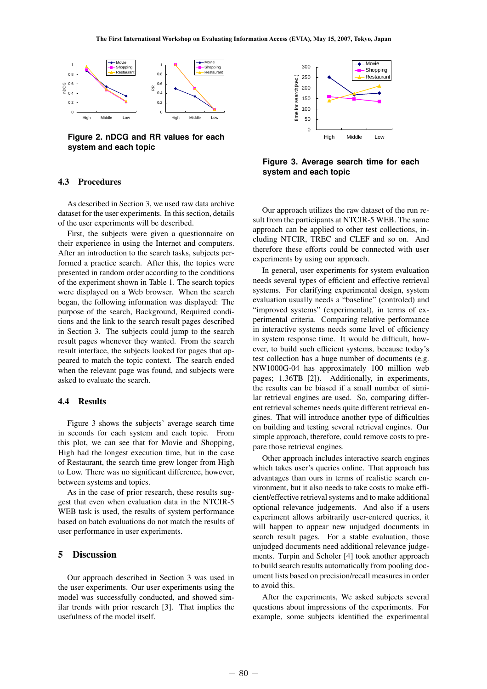

**Figure 2. nDCG and RR values for each system and each topic**

#### 4.3 Procedures

As described in Section 3, we used raw data archive dataset for the user experiments. In this section, details of the user experiments will be described.

First, the subjects were given a questionnaire on their experience in using the Internet and computers. After an introduction to the search tasks, subjects performed a practice search. After this, the topics were presented in random order according to the conditions of the experiment shown in Table 1. The search topics were displayed on a Web browser. When the search began, the following information was displayed: The purpose of the search, Background, Required conditions and the link to the search result pages described in Section 3. The subjects could jump to the search result pages whenever they wanted. From the search result interface, the subjects looked for pages that appeared to match the topic context. The search ended when the relevant page was found, and subjects were asked to evaluate the search.

### 4.4 Results

Figure 3 shows the subjects' average search time in seconds for each system and each topic. From this plot, we can see that for Movie and Shopping, High had the longest execution time, but in the case of Restaurant, the search time grew longer from High to Low. There was no significant difference, however, between systems and topics. when the r<br>asked to ev<br>4.4 Res<br>Figure 1<br>in seconds<br>this plot, which do the Restaur:<br>to Low. The between sy<br>As in the gest that e<br>WEB task<br>based on b<br>user perfor<br>5 Discure<br>Our app<br>the user ex<br>model was<br>liar trends<br>usefulnes

As in the case of prior research, these results suggest that even when evaluation data in the NTCIR-5 WEB task is used, the results of system performance based on batch evaluations do not match the results of user performance in user experiments.

# 5 Discussion

Our approach described in Section 3 was used in the user experiments. Our user experiments using the model was successfully conducted, and showed similar trends with prior research [3]. That implies the usefulness of the model itself.



**Figure 3. Average search time for each system and each topic**

Our approach utilizes the raw dataset of the run result from the participants at NTCIR-5 WEB. The same approach can be applied to other test collections, including NTCIR, TREC and CLEF and so on. And therefore these efforts could be connected with user experiments by using our approach.

In general, user experiments for system evaluation needs several types of efficient and effective retrieval systems. For clarifying experimental design, system evaluation usually needs a "baseline" (controled) and "improved systems" (experimental), in terms of experimental criteria. Comparing relative performance in interactive systems needs some level of efficiency in system response time. It would be difficult, however, to build such efficient systems, because today's test collection has a huge number of documents (e.g. NW1000G-04 has approximately 100 million web pages; 1.36TB [2]). Additionally, in experiments, the results can be biased if a small number of similar retrieval engines are used. So, comparing different retrieval schemes needs quite different retrieval engines. That will introduce another type of difficulties on building and testing several retrieval engines. Our simple approach, therefore, could remove costs to prepare those retrieval engines.

Other approach includes interactive search engines which takes user's queries online. That approach has advantages than ours in terms of realistic search environment, but it also needs to take costs to make efficient/effective retrieval systems and to make additional optional relevance judgements. And also if a users experiment allows arbitrarily user-entered queries, it will happen to appear new unjudged documents in search result pages. For a stable evaluation, those unjudged documents need additional relevance judgements. Turpin and Scholer [4] took another approach to build search results automatically from pooling document lists based on precision/recall measures in order to avoid this.

After the experiments, We asked subjects several questions about impressions of the experiments. For example, some subjects identified the experimental